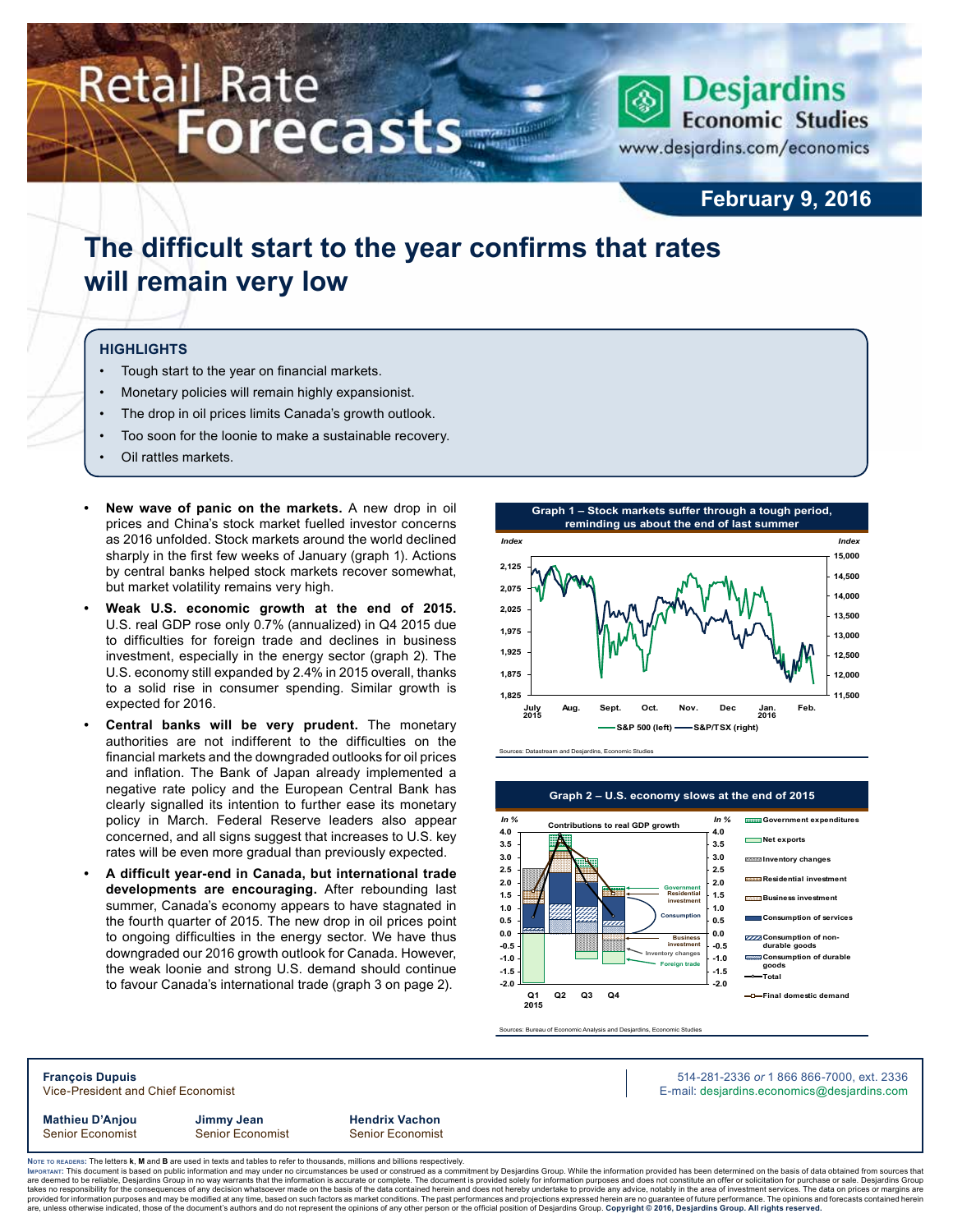# **Retail Rate Forecasts**



**February 9, 2016**

## **The difficult start to the year confirms that rates will remain very low**

#### **Highlights**

- Tough start to the year on financial markets.
- Monetary policies will remain highly expansionist.
- The drop in oil prices limits Canada's growth outlook.
- Too soon for the loonie to make a sustainable recovery.
- Oil rattles markets.
- **• New wave of panic on the markets.** A new drop in oil prices and China's stock market fuelled investor concerns as 2016 unfolded. Stock markets around the world declined sharply in the first few weeks of January (graph 1). Actions by central banks helped stock markets recover somewhat, but market volatility remains very high.
- **• Weak U.S. economic growth at the end of 2015.** U.S. real GDP rose only 0.7% (annualized) in Q4 2015 due to difficulties for foreign trade and declines in business investment, especially in the energy sector (graph 2). The U.S. economy still expanded by 2.4% in 2015 overall, thanks to a solid rise in consumer spending. Similar growth is expected for 2016.
- **• Central banks will be very prudent.** The monetary authorities are not indifferent to the difficulties on the financial markets and the downgraded outlooks for oil prices and inflation. The Bank of Japan already implemented a negative rate policy and the European Central Bank has clearly signalled its intention to further ease its monetary policy in March. Federal Reserve leaders also appear concerned, and all signs suggest that increases to U.S. key rates will be even more gradual than previously expected.
- **• A difficult year-end in Canada, but international trade developments are encouraging.** After rebounding last summer, Canada's economy appears to have stagnated in the fourth quarter of 2015. The new drop in oil prices point to ongoing difficulties in the energy sector. We have thus downgraded our 2016 growth outlook for Canada. However, the weak loonie and strong U.S. demand should continue to favour Canada's international trade (graph 3 on page 2).



Sources: Datastream and Desjardins, Economic Studies



**Graph 2 – U.S. economy slows at the end of 2015**

Sources: Bureau of Economic Analysis and Desjardins, Economic Studies

### **François Dupuis** 514-281-2336 *or* 1 866 866-7000, ext. 2336 Vice-President and Chief Economist **E-mail: designediate and Chief Economist** E-mail: designediate economics@desjardins.com **Mathieu D'Anjou Jimmy Jean Hendrix Vachon** Senior Economist Senior Economist Senior Economist

Noте то келоекs: The letters **k, M** and **B** are used in texts and tables to refer to thousands, millions and billions respectively.<br>Імроктлит: This document is based on public information and may under no circumstances be are deemed to be reliable, Desjardins Group in no way warrants that the information is accurate or complete. The document is provided solely for information purposes and does not constitute an offer or solicitation for pur takes no responsibility for the consequences of any decision whatsoever made on the basis of the data contained herein and does not hereby undertake to provide any advice, notably in the area of investment services. The da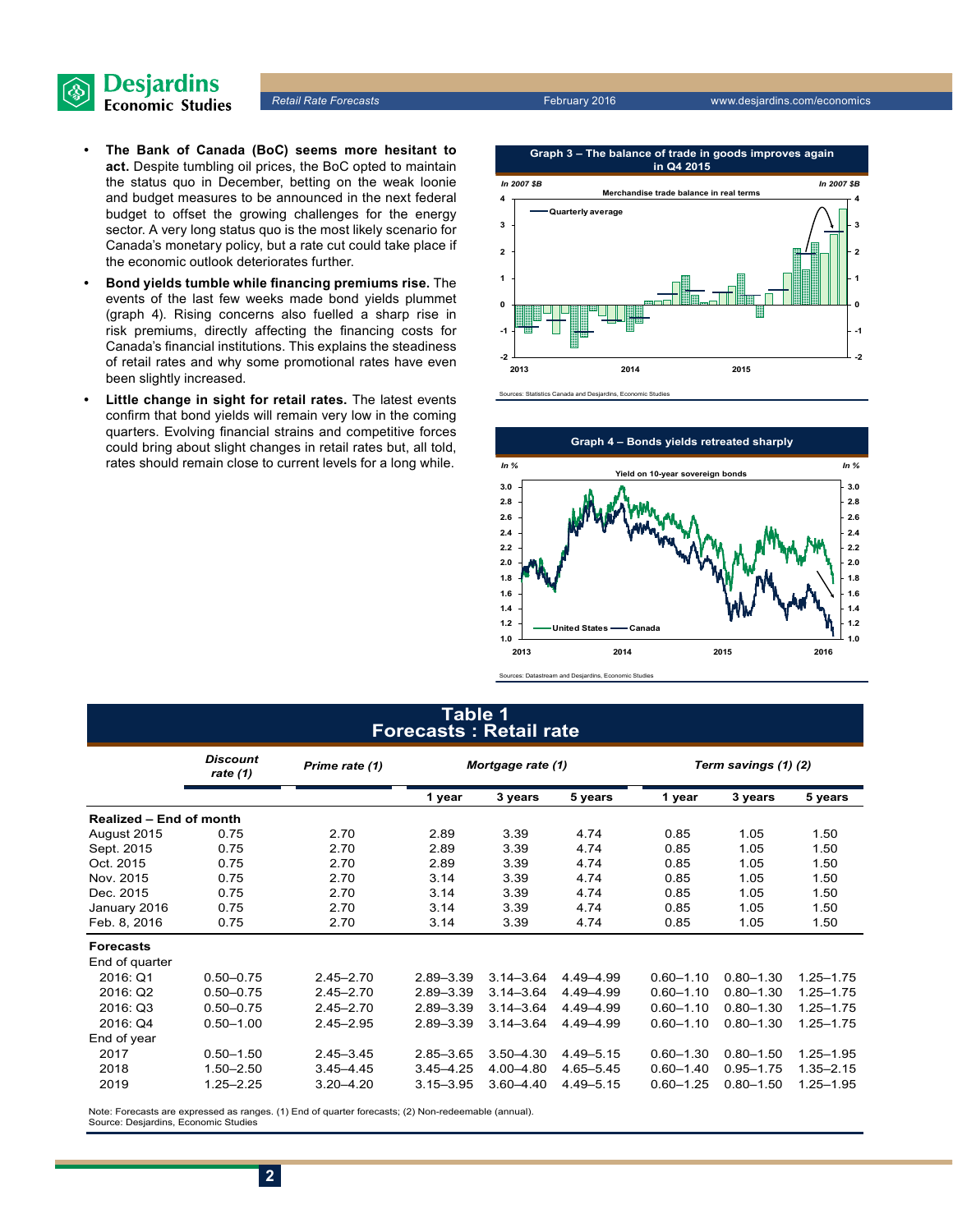

- **• The Bank of Canada (BoC) seems more hesitant to act.** Despite tumbling oil prices, the BoC opted to maintain the status quo in December, betting on the weak loonie and budget measures to be announced in the next federal budget to offset the growing challenges for the energy sector. A very long status quo is the most likely scenario for Canada's monetary policy, but a rate cut could take place if the economic outlook deteriorates further.
- **• Bond yields tumble while financing premiums rise.** The events of the last few weeks made bond yields plummet (graph 4). Rising concerns also fuelled a sharp rise in risk premiums, directly affecting the financing costs for Canada's financial institutions. This explains the steadiness of retail rates and why some promotional rates have even been slightly increased.
- **• Little change in sight for retail rates.** The latest events confirm that bond yields will remain very low in the coming quarters. Evolving financial strains and competitive forces could bring about slight changes in retail rates but, all told, rates should remain close to current levels for a long while.





#### Sources: Datastream and Desjardins, Economic Studie

#### **Table 1 Forecasts : Retail rate**

|                         | <b>Discount</b><br>rate (1) | Prime rate (1) | Mortgage rate (1) |               |               | Term savings (1) (2) |               |               |  |
|-------------------------|-----------------------------|----------------|-------------------|---------------|---------------|----------------------|---------------|---------------|--|
|                         |                             |                | 1 year            | 3 years       | 5 years       | 1 year               | 3 years       | 5 years       |  |
| Realized - End of month |                             |                |                   |               |               |                      |               |               |  |
| August 2015             | 0.75                        | 2.70           | 2.89              | 3.39          | 4.74          | 0.85                 | 1.05          | 1.50          |  |
| Sept. 2015              | 0.75                        | 2.70           | 2.89              | 3.39          | 4.74          | 0.85                 | 1.05          | 1.50          |  |
| Oct. 2015               | 0.75                        | 2.70           | 2.89              | 3.39          | 4.74          | 0.85                 | 1.05          | 1.50          |  |
| Nov. 2015               | 0.75                        | 2.70           | 3.14              | 3.39          | 4.74          | 0.85                 | 1.05          | 1.50          |  |
| Dec. 2015               | 0.75                        | 2.70           | 3.14              | 3.39          | 4.74          | 0.85                 | 1.05          | 1.50          |  |
| January 2016            | 0.75                        | 2.70           | 3.14              | 3.39          | 4.74          | 0.85                 | 1.05          | 1.50          |  |
| Feb. 8, 2016            | 0.75                        | 2.70           | 3.14              | 3.39          | 4.74          | 0.85                 | 1.05          | 1.50          |  |
| <b>Forecasts</b>        |                             |                |                   |               |               |                      |               |               |  |
| End of quarter          |                             |                |                   |               |               |                      |               |               |  |
| 2016: Q1                | $0.50 - 0.75$               | $2.45 - 2.70$  | $2.89 - 3.39$     | $3.14 - 3.64$ | 4.49-4.99     | $0.60 - 1.10$        | $0.80 - 1.30$ | $1.25 - 1.75$ |  |
| 2016: Q2                | $0.50 - 0.75$               | $2.45 - 2.70$  | $2.89 - 3.39$     | $3.14 - 3.64$ | 4.49-4.99     | $0.60 - 1.10$        | $0.80 - 1.30$ | $1.25 - 1.75$ |  |
| 2016: Q3                | $0.50 - 0.75$               | $2.45 - 2.70$  | $2.89 - 3.39$     | $3.14 - 3.64$ | 4.49 - 4.99   | $0.60 - 1.10$        | $0.80 - 1.30$ | $1.25 - 1.75$ |  |
| 2016: Q4                | $0.50 - 1.00$               | $2.45 - 2.95$  | 2.89-3.39         | $3.14 - 3.64$ | 4.49 - 4.99   | $0.60 - 1.10$        | $0.80 - 1.30$ | $1.25 - 1.75$ |  |
| End of year             |                             |                |                   |               |               |                      |               |               |  |
| 2017                    | $0.50 - 1.50$               | $2.45 - 3.45$  | $2.85 - 3.65$     | $3.50 - 4.30$ | $4.49 - 5.15$ | $0.60 - 1.30$        | $0.80 - 1.50$ | $1.25 - 1.95$ |  |
| 2018                    | $1.50 - 2.50$               | $3.45 - 4.45$  | $3.45 - 4.25$     | 4.00-4.80     | 4.65-5.45     | $0.60 - 1.40$        | $0.95 - 1.75$ | $1.35 - 2.15$ |  |
| 2019                    | $1.25 - 2.25$               | $3.20 - 4.20$  | $3.15 - 3.95$     | $3.60 - 4.40$ | 4.49 - 5.15   | $0.60 - 1.25$        | $0.80 - 1.50$ | $1.25 - 1.95$ |  |

Note: Forecasts are expressed as ranges. (1) End of quarter forecasts; (2) Non-redeemable (annual). Source: Desjardins, Economic Studies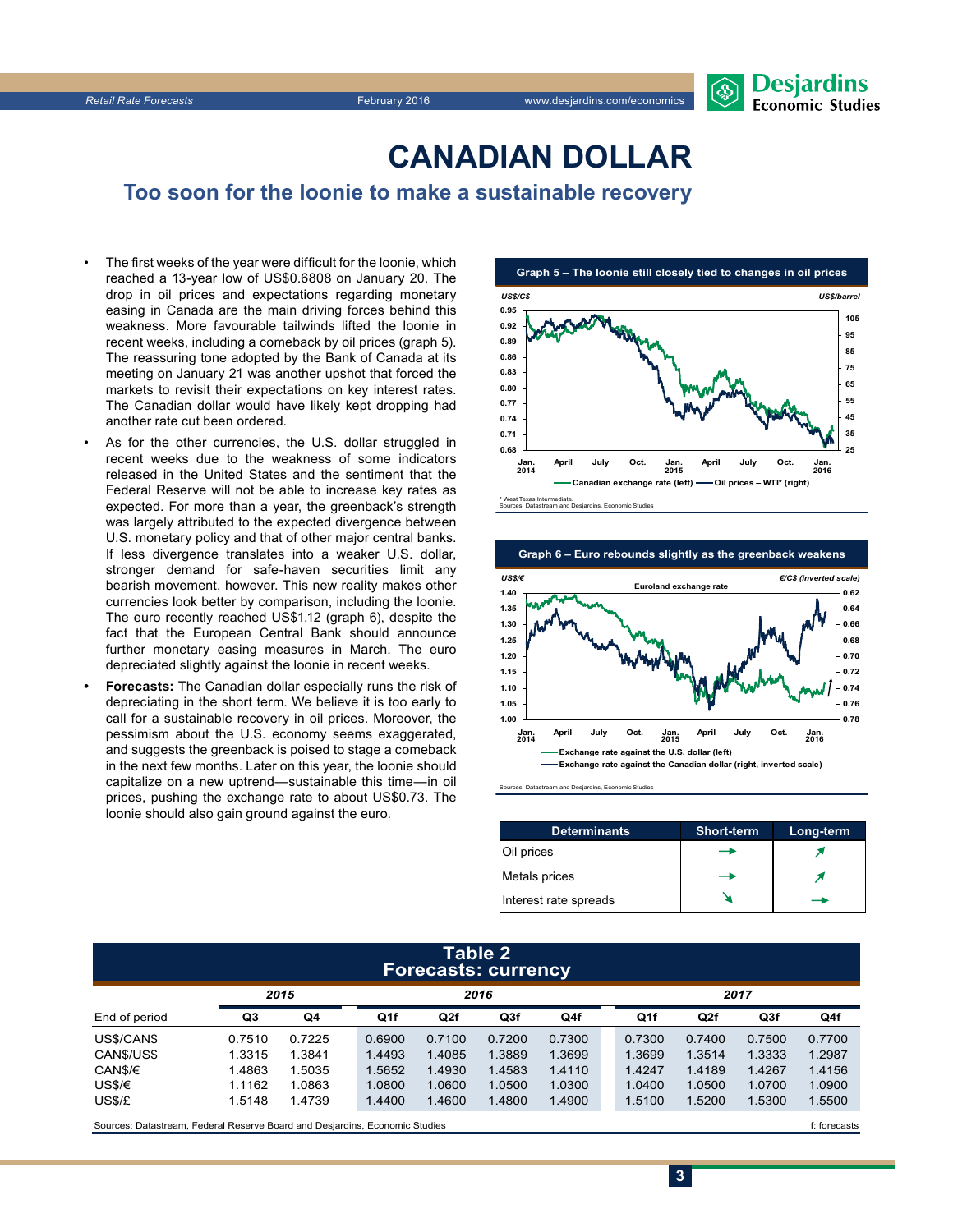

### **CanadiAn Dollar**

**Too soon for the loonie to make a sustainable recovery**

- The first weeks of the year were difficult for the loonie, which reached a 13‑year low of US\$0.6808 on January 20. The drop in oil prices and expectations regarding monetary easing in Canada are the main driving forces behind this weakness. More favourable tailwinds lifted the loonie in recent weeks, including a comeback by oil prices (graph 5). The reassuring tone adopted by the Bank of Canada at its meeting on January 21 was another upshot that forced the markets to revisit their expectations on key interest rates. The Canadian dollar would have likely kept dropping had another rate cut been ordered.
- As for the other currencies, the U.S. dollar struggled in recent weeks due to the weakness of some indicators released in the United States and the sentiment that the Federal Reserve will not be able to increase key rates as expected. For more than a year, the greenback's strength was largely attributed to the expected divergence between U.S. monetary policy and that of other major central banks. If less divergence translates into a weaker U.S. dollar, stronger demand for safe-haven securities limit any bearish movement, however. This new reality makes other currencies look better by comparison, including the loonie. The euro recently reached US\$1.12 (graph 6), despite the fact that the European Central Bank should announce further monetary easing measures in March. The euro depreciated slightly against the loonie in recent weeks.
- **• Forecasts:** The Canadian dollar especially runs the risk of depreciating in the short term. We believe it is too early to call for a sustainable recovery in oil prices. Moreover, the pessimism about the U.S. economy seems exaggerated, and suggests the greenback is poised to stage a comeback in the next few months. Later on this year, the loonie should capitalize on a new uptrend—sustainable this time—in oil prices, pushing the exchange rate to about US\$0.73. The loonie should also gain ground against the euro.





Sources: Datastream and Desjardins, Economic Studies

| <b>Determinants</b>   | <b>Short-term</b> | Long-term |
|-----------------------|-------------------|-----------|
| Oil prices            |                   |           |
| Metals prices         |                   |           |
| Interest rate spreads |                   |           |

**3**

#### **Table 2 Forecasts: currency**

|               | . .    |        |        |        |        |        |  |        |        |        |        |
|---------------|--------|--------|--------|--------|--------|--------|--|--------|--------|--------|--------|
|               | 2015   |        | 2016   |        |        |        |  | 2017   |        |        |        |
| End of period | Q3     | Q4     | Q1f    | Q2f    | Q3f    | Q4f    |  | Q1f    | Q2f    | Q3f    | Q4f    |
| US\$/CAN\$    | 0.7510 | 0.7225 | 0.6900 | 0.7100 | 0.7200 | 0.7300 |  | 0.7300 | 0.7400 | 0.7500 | 0.7700 |
| CAN\$/US\$    | 1.3315 | 1.3841 | 1.4493 | 1.4085 | 1.3889 | 1.3699 |  | 1.3699 | 1.3514 | 1.3333 | 1.2987 |
| CAN\$/€       | 1.4863 | 1.5035 | 1.5652 | 1.4930 | 1.4583 | 1.4110 |  | 1.4247 | 1.4189 | 1.4267 | 1.4156 |
| USS/E         | 1.1162 | 1.0863 | 1.0800 | 1.0600 | 1.0500 | 1.0300 |  | 1.0400 | 1.0500 | 1.0700 | 1.0900 |
| US\$/£        | 1.5148 | 1.4739 | 1.4400 | 1.4600 | 1.4800 | 1.4900 |  | 1.5100 | 1.5200 | 1.5300 | 1.5500 |
|               |        |        |        |        |        |        |  |        |        |        |        |

Sources: Datastream, Federal Reserve Board and Desjardins, Economic Studies files for example of the studies files forecasts files forecasts files for example and the studies of the studies of the studies of the studies of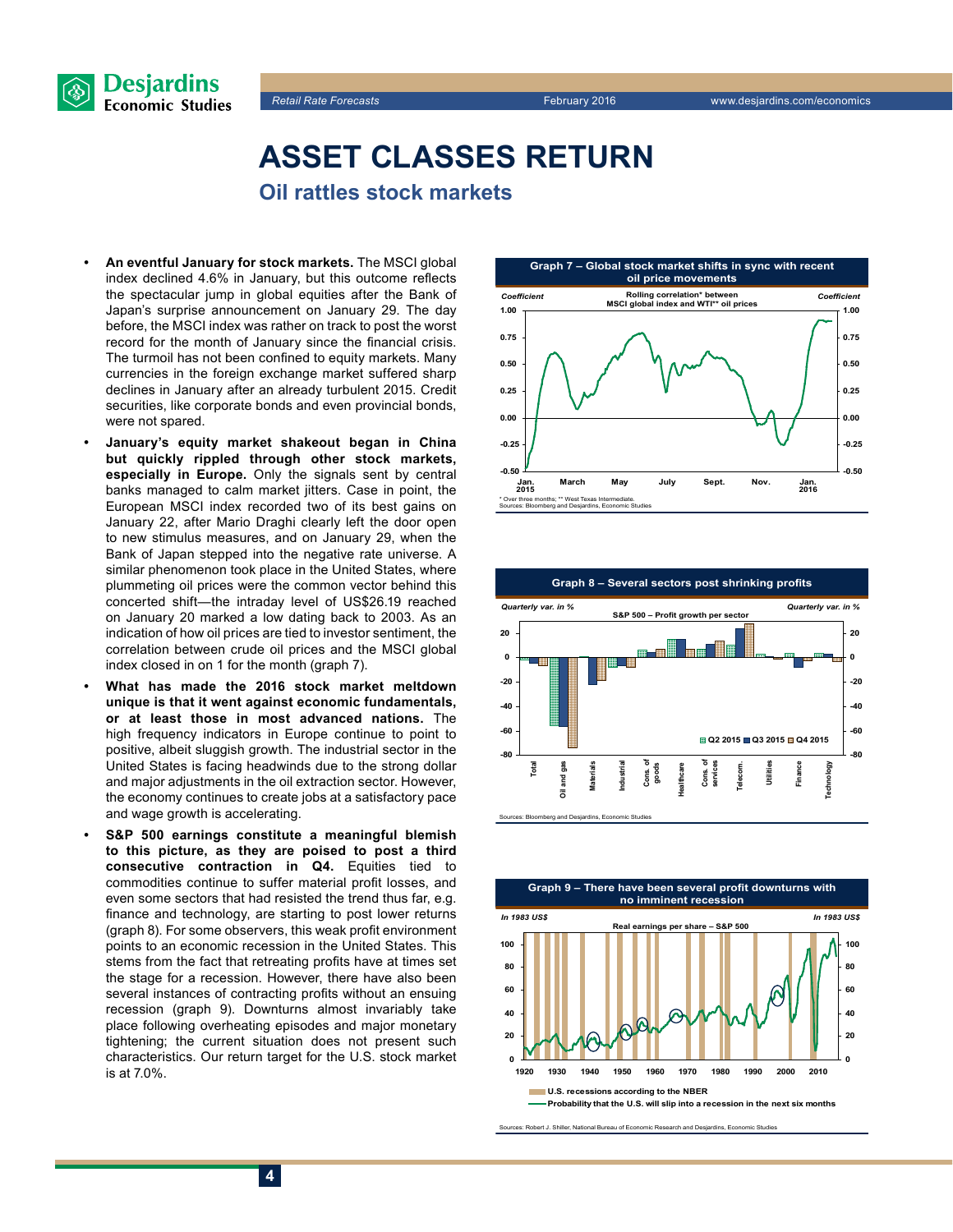



### **Asset classes return Oil rattles stock markets**

- **• An eventful January for stock markets.** The MSCI global index declined 4.6% in January, but this outcome reflects the spectacular jump in global equities after the Bank of Japan's surprise announcement on January 29. The day before, the MSCI index was rather on track to post the worst record for the month of January since the financial crisis. The turmoil has not been confined to equity markets. Many currencies in the foreign exchange market suffered sharp declines in January after an already turbulent 2015. Credit securities, like corporate bonds and even provincial bonds, were not spared.
- **• January's equity market shakeout began in China but quickly rippled through other stock markets, especially in Europe.** Only the signals sent by central banks managed to calm market jitters. Case in point, the European MSCI index recorded two of its best gains on January 22, after Mario Draghi clearly left the door open to new stimulus measures, and on January 29, when the Bank of Japan stepped into the negative rate universe. A similar phenomenon took place in the United States, where plummeting oil prices were the common vector behind this concerted shift—the intraday level of US\$26.19 reached on January 20 marked a low dating back to 2003. As an indication of how oil prices are tied to investor sentiment, the correlation between crude oil prices and the MSCI global index closed in on 1 for the month (graph 7).
- **• What has made the 2016 stock market meltdown unique is that it went against economic fundamentals, or at least those in most advanced nations.** The high frequency indicators in Europe continue to point to positive, albeit sluggish growth. The industrial sector in the United States is facing headwinds due to the strong dollar and major adjustments in the oil extraction sector. However, the economy continues to create jobs at a satisfactory pace and wage growth is accelerating.
- **• S&P 500 earnings constitute a meaningful blemish to this picture, as they are poised to post a third consecutive contraction in Q4.** Equities tied to commodities continue to suffer material profit losses, and even some sectors that had resisted the trend thus far, e.g. finance and technology, are starting to post lower returns (graph 8). For some observers, this weak profit environment points to an economic recession in the United States. This stems from the fact that retreating profits have at times set the stage for a recession. However, there have also been several instances of contracting profits without an ensuing recession (graph 9). Downturns almost invariably take place following overheating episodes and major monetary tightening; the current situation does not present such characteristics. Our return target for the U.S. stock market is at 7.0%.